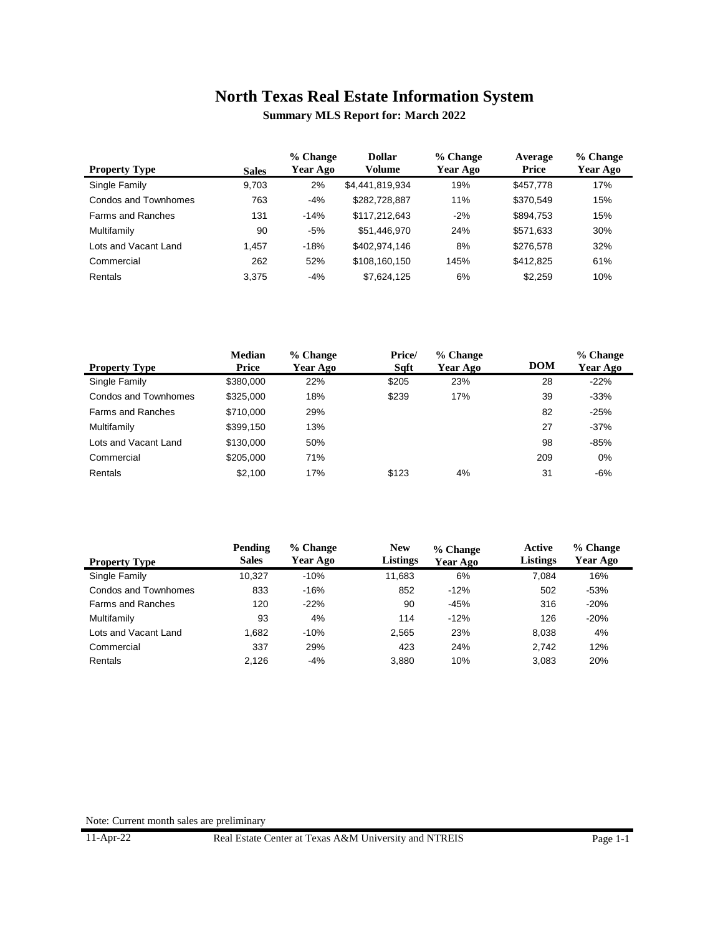**Summary MLS Report for: March 2022**

| <b>Property Type</b> | <b>Sales</b> | % Change<br>Year Ago | <b>Dollar</b><br>Volume | % Change<br>Year Ago | Average<br>Price | % Change<br>Year Ago |
|----------------------|--------------|----------------------|-------------------------|----------------------|------------------|----------------------|
| Single Family        | 9,703        | 2%                   | \$4,441,819,934         | 19%                  | \$457,778        | 17%                  |
| Condos and Townhomes | 763          | $-4%$                | \$282,728,887           | 11%                  | \$370.549        | 15%                  |
| Farms and Ranches    | 131          | $-14%$               | \$117.212.643           | $-2%$                | \$894,753        | 15%                  |
| Multifamily          | 90           | -5%                  | \$51,446,970            | 24%                  | \$571,633        | 30%                  |
| Lots and Vacant Land | 1.457        | $-18%$               | \$402.974.146           | 8%                   | \$276,578        | 32%                  |
| Commercial           | 262          | 52%                  | \$108.160.150           | 145%                 | \$412,825        | 61%                  |
| Rentals              | 3.375        | $-4%$                | \$7.624.125             | 6%                   | \$2.259          | 10%                  |

|                      | <b>Median</b> | % Change | Price/ | % Change |            | % Change |
|----------------------|---------------|----------|--------|----------|------------|----------|
| <b>Property Type</b> | Price         | Year Ago | Sqft   | Year Ago | <b>DOM</b> | Year Ago |
| Single Family        | \$380,000     | 22%      | \$205  | 23%      | 28         | $-22%$   |
| Condos and Townhomes | \$325,000     | 18%      | \$239  | 17%      | 39         | $-33%$   |
| Farms and Ranches    | \$710,000     | 29%      |        |          | 82         | $-25%$   |
| Multifamily          | \$399,150     | 13%      |        |          | 27         | $-37%$   |
| Lots and Vacant Land | \$130,000     | 50%      |        |          | 98         | $-85%$   |
| Commercial           | \$205,000     | 71%      |        |          | 209        | 0%       |
| Rentals              | \$2,100       | 17%      | \$123  | 4%       | 31         | $-6%$    |

|                          | Pending      | % Change | <b>New</b>      | % Change | Active          | % Change |
|--------------------------|--------------|----------|-----------------|----------|-----------------|----------|
| <b>Property Type</b>     | <b>Sales</b> | Year Ago | <b>Listings</b> | Year Ago | <b>Listings</b> | Year Ago |
| Single Family            | 10.327       | $-10%$   | 11.683          | 6%       | 7.084           | 16%      |
| Condos and Townhomes     | 833          | $-16%$   | 852             | $-12%$   | 502             | $-53%$   |
| <b>Farms and Ranches</b> | 120          | $-22%$   | 90              | $-45%$   | 316             | $-20%$   |
| Multifamily              | 93           | 4%       | 114             | $-12%$   | 126             | $-20%$   |
| Lots and Vacant Land     | 1.682        | $-10%$   | 2.565           | 23%      | 8.038           | 4%       |
| Commercial               | 337          | 29%      | 423             | 24%      | 2.742           | 12%      |
| Rentals                  | 2.126        | $-4%$    | 3.880           | 10%      | 3.083           | 20%      |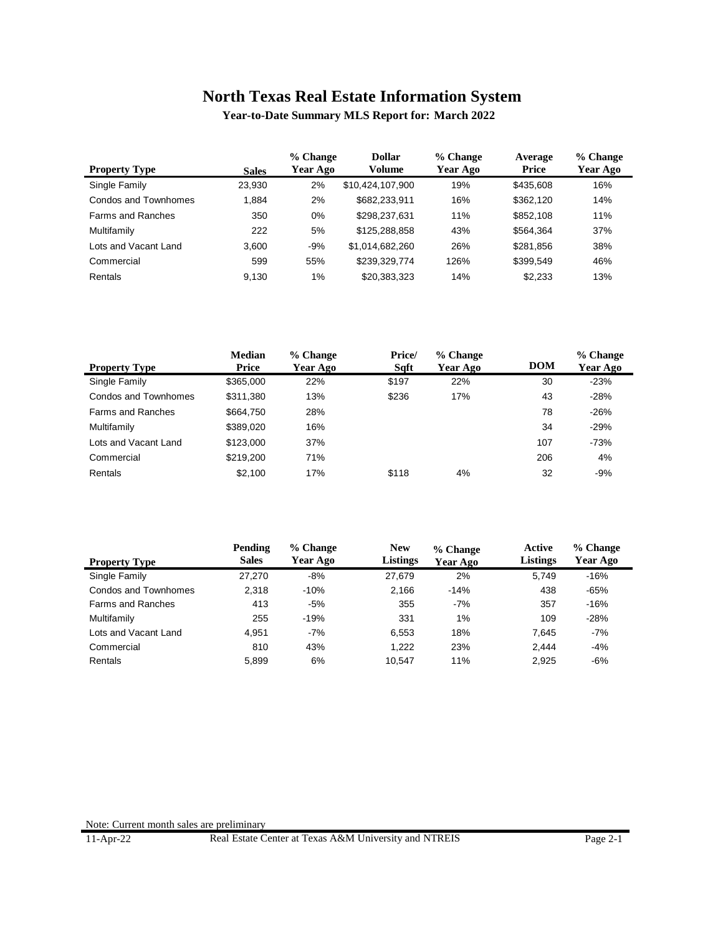**Year-to-Date Summary MLS Report for: March 2022**

| <b>Property Type</b>     | <b>Sales</b> | % Change<br>Year Ago | <b>Dollar</b><br>Volume | % Change<br>Year Ago | Average<br>Price | % Change<br><b>Year Ago</b> |
|--------------------------|--------------|----------------------|-------------------------|----------------------|------------------|-----------------------------|
| Single Family            | 23.930       | 2%                   | \$10,424,107,900        | 19%                  | \$435,608        | 16%                         |
| Condos and Townhomes     | 1.884        | 2%                   | \$682,233,911           | 16%                  | \$362,120        | 14%                         |
| <b>Farms and Ranches</b> | 350          | $0\%$                | \$298.237.631           | 11%                  | \$852,108        | 11%                         |
| Multifamily              | 222          | 5%                   | \$125,288,858           | 43%                  | \$564.364        | 37%                         |
| Lots and Vacant Land     | 3.600        | $-9%$                | \$1,014,682,260         | 26%                  | \$281,856        | 38%                         |
| Commercial               | 599          | 55%                  | \$239,329,774           | 126%                 | \$399.549        | 46%                         |
| <b>Rentals</b>           | 9.130        | $1\%$                | \$20.383.323            | 14%                  | \$2.233          | 13%                         |

|                          | <b>Median</b> | % Change | Price/ | % Change |            | % Change |
|--------------------------|---------------|----------|--------|----------|------------|----------|
| <b>Property Type</b>     | Price         | Year Ago | Sqft   | Year Ago | <b>DOM</b> | Year Ago |
| Single Family            | \$365,000     | 22%      | \$197  | 22%      | 30         | $-23%$   |
| Condos and Townhomes     | \$311,380     | 13%      | \$236  | 17%      | 43         | $-28%$   |
| <b>Farms and Ranches</b> | \$664,750     | 28%      |        |          | 78         | $-26%$   |
| Multifamily              | \$389,020     | 16%      |        |          | 34         | $-29%$   |
| Lots and Vacant Land     | \$123,000     | 37%      |        |          | 107        | $-73%$   |
| Commercial               | \$219.200     | 71%      |        |          | 206        | 4%       |
| Rentals                  | \$2,100       | 17%      | \$118  | 4%       | 32         | $-9%$    |

|                          | Pending      | % Change | <b>New</b>      | % Change | Active          | % Change |  |
|--------------------------|--------------|----------|-----------------|----------|-----------------|----------|--|
| <b>Property Type</b>     | <b>Sales</b> | Year Ago | <b>Listings</b> | Year Ago | <b>Listings</b> | Year Ago |  |
| Single Family            | 27.270       | $-8%$    | 27.679          | 2%       | 5.749           | $-16%$   |  |
| Condos and Townhomes     | 2.318        | $-10%$   | 2.166           | $-14%$   | 438             | $-65%$   |  |
| <b>Farms and Ranches</b> | 413          | $-5%$    | 355             | $-7%$    | 357             | $-16%$   |  |
| Multifamily              | 255          | $-19%$   | 331             | 1%       | 109             | $-28%$   |  |
| Lots and Vacant Land     | 4.951        | $-7%$    | 6.553           | 18%      | 7.645           | $-7%$    |  |
| Commercial               | 810          | 43%      | 1.222           | 23%      | 2.444           | $-4%$    |  |
| Rentals                  | 5.899        | 6%       | 10.547          | 11%      | 2.925           | $-6%$    |  |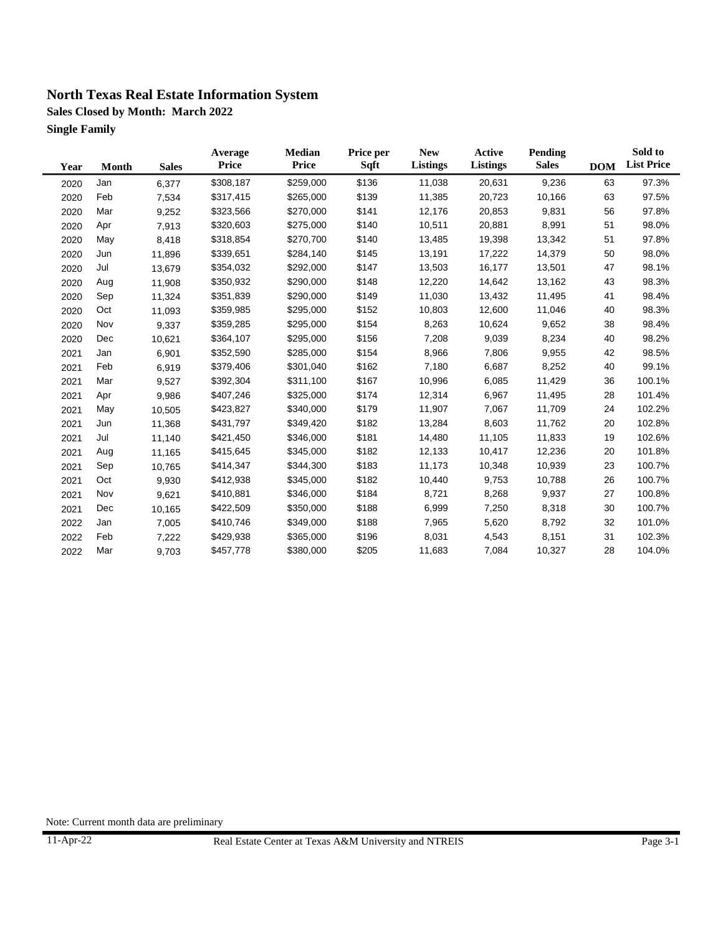**Sales Closed by Month: March 2022 Single Family**

| Year | Month | <b>Sales</b> | Average<br><b>Price</b> | Median<br><b>Price</b> | Price per<br>Sqft | <b>New</b><br>Listings | <b>Active</b><br>Listings | Pending<br><b>Sales</b> | <b>DOM</b> | Sold to<br><b>List Price</b> |
|------|-------|--------------|-------------------------|------------------------|-------------------|------------------------|---------------------------|-------------------------|------------|------------------------------|
| 2020 | Jan   | 6,377        | \$308,187               | \$259,000              | \$136             | 11,038                 | 20,631                    | 9,236                   | 63         | 97.3%                        |
| 2020 | Feb   | 7,534        | \$317,415               | \$265,000              | \$139             | 11,385                 | 20,723                    | 10,166                  | 63         | 97.5%                        |
| 2020 | Mar   | 9,252        | \$323,566               | \$270,000              | \$141             | 12,176                 | 20,853                    | 9,831                   | 56         | 97.8%                        |
| 2020 | Apr   | 7,913        | \$320,603               | \$275,000              | \$140             | 10,511                 | 20,881                    | 8,991                   | 51         | 98.0%                        |
| 2020 | May   | 8,418        | \$318,854               | \$270,700              | \$140             | 13,485                 | 19,398                    | 13,342                  | 51         | 97.8%                        |
| 2020 | Jun   | 11,896       | \$339,651               | \$284,140              | \$145             | 13,191                 | 17,222                    | 14,379                  | 50         | 98.0%                        |
| 2020 | Jul   | 13,679       | \$354,032               | \$292,000              | \$147             | 13,503                 | 16,177                    | 13,501                  | 47         | 98.1%                        |
| 2020 | Aug   | 11,908       | \$350,932               | \$290,000              | \$148             | 12,220                 | 14,642                    | 13,162                  | 43         | 98.3%                        |
| 2020 | Sep   | 11,324       | \$351,839               | \$290,000              | \$149             | 11,030                 | 13,432                    | 11,495                  | 41         | 98.4%                        |
| 2020 | Oct   | 11,093       | \$359,985               | \$295,000              | \$152             | 10,803                 | 12,600                    | 11,046                  | 40         | 98.3%                        |
| 2020 | Nov   | 9,337        | \$359,285               | \$295,000              | \$154             | 8,263                  | 10,624                    | 9,652                   | 38         | 98.4%                        |
| 2020 | Dec   | 10,621       | \$364,107               | \$295,000              | \$156             | 7,208                  | 9,039                     | 8,234                   | 40         | 98.2%                        |
| 2021 | Jan   | 6,901        | \$352,590               | \$285,000              | \$154             | 8,966                  | 7,806                     | 9,955                   | 42         | 98.5%                        |
| 2021 | Feb   | 6,919        | \$379,406               | \$301,040              | \$162             | 7,180                  | 6,687                     | 8,252                   | 40         | 99.1%                        |
| 2021 | Mar   | 9,527        | \$392,304               | \$311,100              | \$167             | 10,996                 | 6,085                     | 11,429                  | 36         | 100.1%                       |
| 2021 | Apr   | 9,986        | \$407,246               | \$325,000              | \$174             | 12,314                 | 6,967                     | 11,495                  | 28         | 101.4%                       |
| 2021 | May   | 10,505       | \$423,827               | \$340,000              | \$179             | 11,907                 | 7,067                     | 11,709                  | 24         | 102.2%                       |
| 2021 | Jun   | 11,368       | \$431,797               | \$349,420              | \$182             | 13,284                 | 8,603                     | 11,762                  | 20         | 102.8%                       |
| 2021 | Jul   | 11,140       | \$421,450               | \$346,000              | \$181             | 14,480                 | 11,105                    | 11,833                  | 19         | 102.6%                       |
| 2021 | Aug   | 11,165       | \$415,645               | \$345,000              | \$182             | 12,133                 | 10,417                    | 12,236                  | 20         | 101.8%                       |
| 2021 | Sep   | 10,765       | \$414,347               | \$344,300              | \$183             | 11,173                 | 10,348                    | 10,939                  | 23         | 100.7%                       |
| 2021 | Oct   | 9,930        | \$412,938               | \$345,000              | \$182             | 10,440                 | 9,753                     | 10,788                  | 26         | 100.7%                       |
| 2021 | Nov   | 9,621        | \$410,881               | \$346,000              | \$184             | 8,721                  | 8,268                     | 9,937                   | 27         | 100.8%                       |
| 2021 | Dec   | 10,165       | \$422,509               | \$350,000              | \$188             | 6,999                  | 7,250                     | 8,318                   | 30         | 100.7%                       |
| 2022 | Jan   | 7,005        | \$410,746               | \$349,000              | \$188             | 7,965                  | 5,620                     | 8,792                   | 32         | 101.0%                       |
| 2022 | Feb   | 7,222        | \$429,938               | \$365,000              | \$196             | 8,031                  | 4,543                     | 8,151                   | 31         | 102.3%                       |
| 2022 | Mar   | 9,703        | \$457,778               | \$380,000              | \$205             | 11,683                 | 7,084                     | 10,327                  | 28         | 104.0%                       |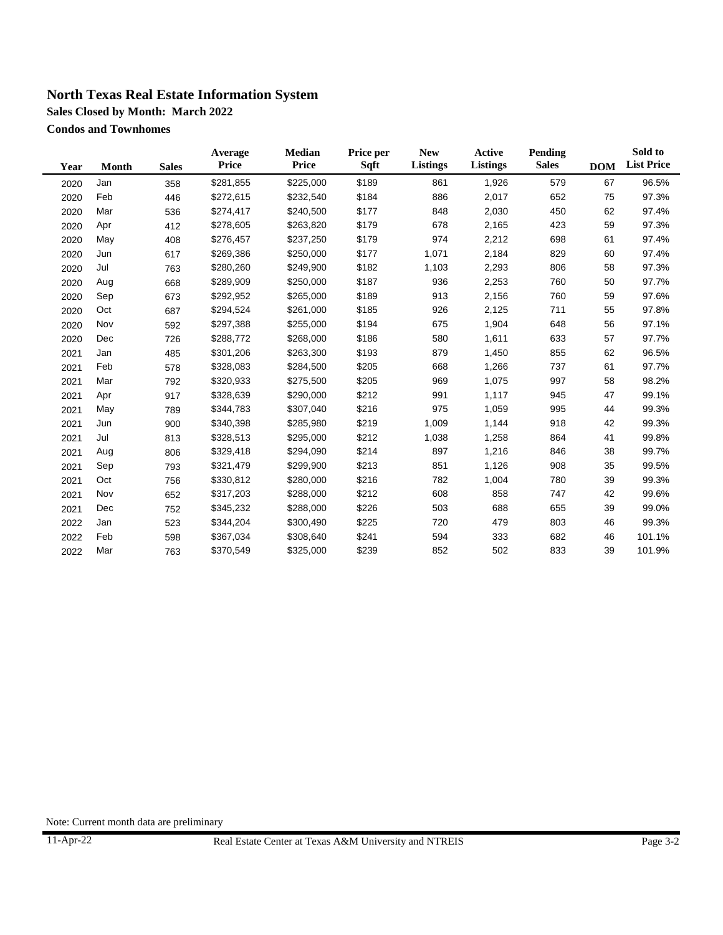**Sales Closed by Month: March 2022**

**Condos and Townhomes**

| Year | <b>Month</b> | <b>Sales</b> | Average<br><b>Price</b> | Median<br><b>Price</b> | Price per<br>Sqft | <b>New</b><br>Listings | Active<br><b>Listings</b> | <b>Pending</b><br><b>Sales</b> | <b>DOM</b> | Sold to<br><b>List Price</b> |
|------|--------------|--------------|-------------------------|------------------------|-------------------|------------------------|---------------------------|--------------------------------|------------|------------------------------|
| 2020 | Jan          | 358          | \$281,855               | \$225,000              | \$189             | 861                    | 1,926                     | 579                            | 67         | 96.5%                        |
| 2020 | Feb          | 446          | \$272,615               | \$232,540              | \$184             | 886                    | 2,017                     | 652                            | 75         | 97.3%                        |
| 2020 | Mar          | 536          | \$274,417               | \$240,500              | \$177             | 848                    | 2,030                     | 450                            | 62         | 97.4%                        |
| 2020 | Apr          | 412          | \$278,605               | \$263,820              | \$179             | 678                    | 2,165                     | 423                            | 59         | 97.3%                        |
| 2020 | May          | 408          | \$276,457               | \$237,250              | \$179             | 974                    | 2,212                     | 698                            | 61         | 97.4%                        |
| 2020 | Jun          | 617          | \$269,386               | \$250,000              | \$177             | 1,071                  | 2,184                     | 829                            | 60         | 97.4%                        |
| 2020 | Jul          | 763          | \$280,260               | \$249,900              | \$182             | 1,103                  | 2,293                     | 806                            | 58         | 97.3%                        |
| 2020 | Aug          | 668          | \$289,909               | \$250,000              | \$187             | 936                    | 2,253                     | 760                            | 50         | 97.7%                        |
| 2020 | Sep          | 673          | \$292,952               | \$265,000              | \$189             | 913                    | 2,156                     | 760                            | 59         | 97.6%                        |
| 2020 | Oct          | 687          | \$294,524               | \$261,000              | \$185             | 926                    | 2,125                     | 711                            | 55         | 97.8%                        |
| 2020 | Nov          | 592          | \$297,388               | \$255,000              | \$194             | 675                    | 1,904                     | 648                            | 56         | 97.1%                        |
| 2020 | Dec          | 726          | \$288,772               | \$268,000              | \$186             | 580                    | 1,611                     | 633                            | 57         | 97.7%                        |
| 2021 | Jan          | 485          | \$301,206               | \$263,300              | \$193             | 879                    | 1,450                     | 855                            | 62         | 96.5%                        |
| 2021 | Feb          | 578          | \$328,083               | \$284,500              | \$205             | 668                    | 1,266                     | 737                            | 61         | 97.7%                        |
| 2021 | Mar          | 792          | \$320,933               | \$275,500              | \$205             | 969                    | 1,075                     | 997                            | 58         | 98.2%                        |
| 2021 | Apr          | 917          | \$328,639               | \$290,000              | \$212             | 991                    | 1,117                     | 945                            | 47         | 99.1%                        |
| 2021 | May          | 789          | \$344,783               | \$307,040              | \$216             | 975                    | 1,059                     | 995                            | 44         | 99.3%                        |
| 2021 | Jun          | 900          | \$340,398               | \$285,980              | \$219             | 1,009                  | 1,144                     | 918                            | 42         | 99.3%                        |
| 2021 | Jul          | 813          | \$328,513               | \$295,000              | \$212             | 1,038                  | 1,258                     | 864                            | 41         | 99.8%                        |
| 2021 | Aug          | 806          | \$329,418               | \$294,090              | \$214             | 897                    | 1,216                     | 846                            | 38         | 99.7%                        |
| 2021 | Sep          | 793          | \$321,479               | \$299,900              | \$213             | 851                    | 1,126                     | 908                            | 35         | 99.5%                        |
| 2021 | Oct          | 756          | \$330,812               | \$280,000              | \$216             | 782                    | 1,004                     | 780                            | 39         | 99.3%                        |
| 2021 | Nov          | 652          | \$317,203               | \$288,000              | \$212             | 608                    | 858                       | 747                            | 42         | 99.6%                        |
| 2021 | Dec          | 752          | \$345,232               | \$288,000              | \$226             | 503                    | 688                       | 655                            | 39         | 99.0%                        |
| 2022 | Jan          | 523          | \$344,204               | \$300,490              | \$225             | 720                    | 479                       | 803                            | 46         | 99.3%                        |
| 2022 | Feb          | 598          | \$367,034               | \$308,640              | \$241             | 594                    | 333                       | 682                            | 46         | 101.1%                       |
| 2022 | Mar          | 763          | \$370,549               | \$325,000              | \$239             | 852                    | 502                       | 833                            | 39         | 101.9%                       |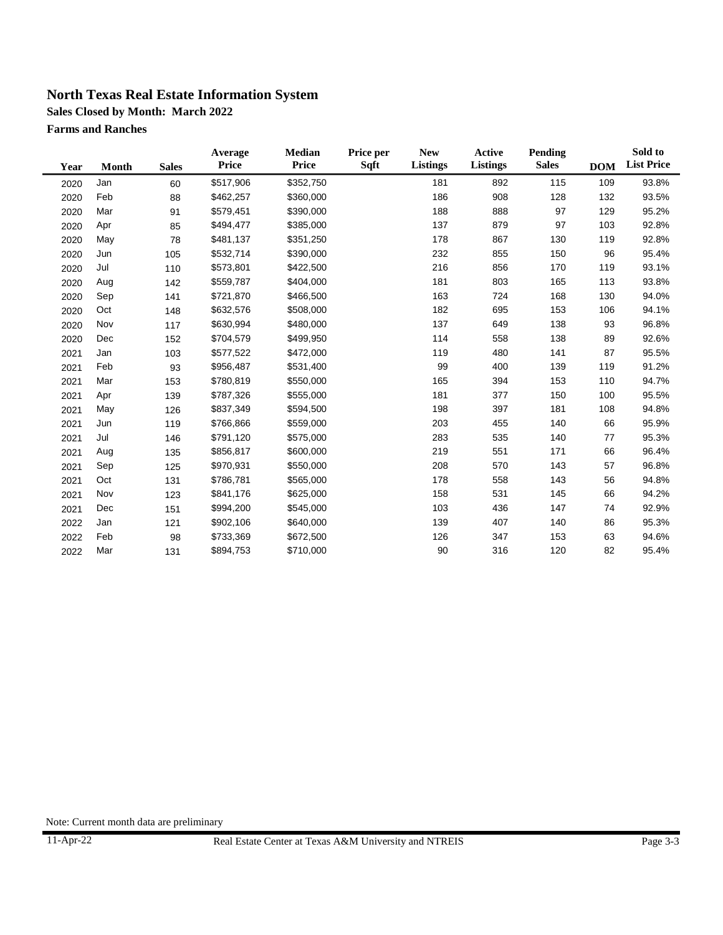**Sales Closed by Month: March 2022**

**Farms and Ranches**

| Year | Month | <b>Sales</b> | Average<br>Price | Median<br><b>Price</b> | Price per<br>Sqft | <b>New</b><br><b>Listings</b> | Active<br><b>Listings</b> | <b>Pending</b><br><b>Sales</b> | <b>DOM</b> | Sold to<br><b>List Price</b> |
|------|-------|--------------|------------------|------------------------|-------------------|-------------------------------|---------------------------|--------------------------------|------------|------------------------------|
| 2020 | Jan   | 60           | \$517,906        | \$352,750              |                   | 181                           | 892                       | 115                            | 109        | 93.8%                        |
| 2020 | Feb   | 88           | \$462,257        | \$360,000              |                   | 186                           | 908                       | 128                            | 132        | 93.5%                        |
| 2020 | Mar   | 91           | \$579,451        | \$390,000              |                   | 188                           | 888                       | 97                             | 129        | 95.2%                        |
| 2020 | Apr   | 85           | \$494,477        | \$385,000              |                   | 137                           | 879                       | 97                             | 103        | 92.8%                        |
| 2020 | May   | 78           | \$481,137        | \$351,250              |                   | 178                           | 867                       | 130                            | 119        | 92.8%                        |
| 2020 | Jun   | 105          | \$532,714        | \$390,000              |                   | 232                           | 855                       | 150                            | 96         | 95.4%                        |
| 2020 | Jul   | 110          | \$573,801        | \$422,500              |                   | 216                           | 856                       | 170                            | 119        | 93.1%                        |
| 2020 | Aug   | 142          | \$559,787        | \$404,000              |                   | 181                           | 803                       | 165                            | 113        | 93.8%                        |
| 2020 | Sep   | 141          | \$721,870        | \$466,500              |                   | 163                           | 724                       | 168                            | 130        | 94.0%                        |
| 2020 | Oct   | 148          | \$632,576        | \$508,000              |                   | 182                           | 695                       | 153                            | 106        | 94.1%                        |
| 2020 | Nov   | 117          | \$630,994        | \$480,000              |                   | 137                           | 649                       | 138                            | 93         | 96.8%                        |
| 2020 | Dec   | 152          | \$704,579        | \$499,950              |                   | 114                           | 558                       | 138                            | 89         | 92.6%                        |
| 2021 | Jan   | 103          | \$577,522        | \$472,000              |                   | 119                           | 480                       | 141                            | 87         | 95.5%                        |
| 2021 | Feb   | 93           | \$956,487        | \$531,400              |                   | 99                            | 400                       | 139                            | 119        | 91.2%                        |
| 2021 | Mar   | 153          | \$780,819        | \$550,000              |                   | 165                           | 394                       | 153                            | 110        | 94.7%                        |
| 2021 | Apr   | 139          | \$787,326        | \$555,000              |                   | 181                           | 377                       | 150                            | 100        | 95.5%                        |
| 2021 | May   | 126          | \$837,349        | \$594,500              |                   | 198                           | 397                       | 181                            | 108        | 94.8%                        |
| 2021 | Jun   | 119          | \$766,866        | \$559,000              |                   | 203                           | 455                       | 140                            | 66         | 95.9%                        |
| 2021 | Jul   | 146          | \$791,120        | \$575,000              |                   | 283                           | 535                       | 140                            | 77         | 95.3%                        |
| 2021 | Aug   | 135          | \$856,817        | \$600,000              |                   | 219                           | 551                       | 171                            | 66         | 96.4%                        |
| 2021 | Sep   | 125          | \$970,931        | \$550,000              |                   | 208                           | 570                       | 143                            | 57         | 96.8%                        |
| 2021 | Oct   | 131          | \$786,781        | \$565,000              |                   | 178                           | 558                       | 143                            | 56         | 94.8%                        |
| 2021 | Nov   | 123          | \$841,176        | \$625,000              |                   | 158                           | 531                       | 145                            | 66         | 94.2%                        |
| 2021 | Dec   | 151          | \$994,200        | \$545,000              |                   | 103                           | 436                       | 147                            | 74         | 92.9%                        |
| 2022 | Jan   | 121          | \$902,106        | \$640,000              |                   | 139                           | 407                       | 140                            | 86         | 95.3%                        |
| 2022 | Feb   | 98           | \$733,369        | \$672,500              |                   | 126                           | 347                       | 153                            | 63         | 94.6%                        |
| 2022 | Mar   | 131          | \$894,753        | \$710,000              |                   | 90                            | 316                       | 120                            | 82         | 95.4%                        |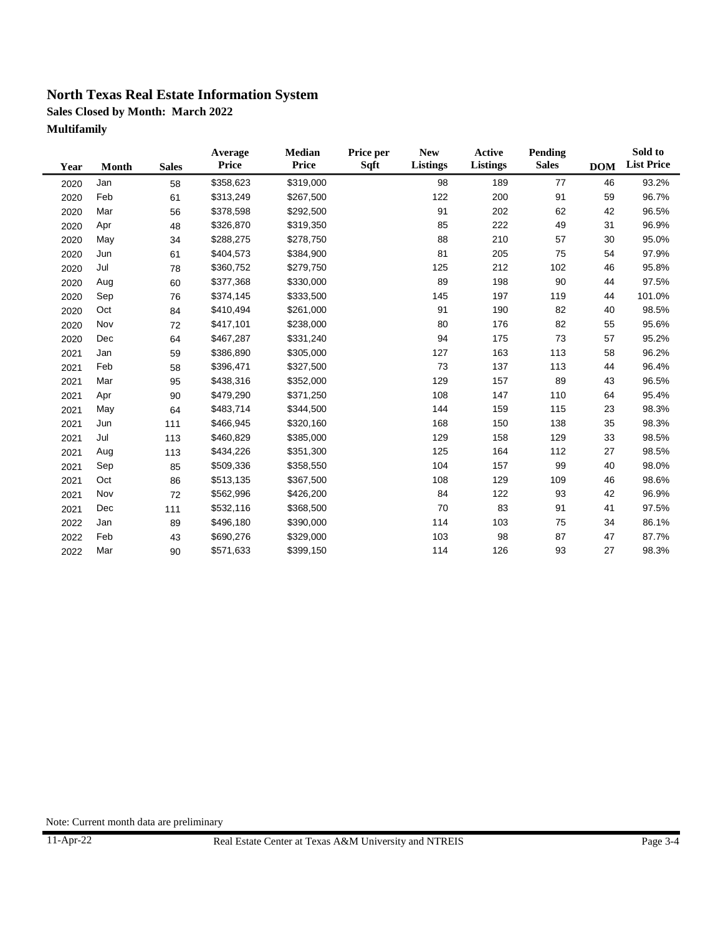**Sales Closed by Month: March 2022 Multifamily**

| Year | Month | <b>Sales</b> | Average<br><b>Price</b> | <b>Median</b><br><b>Price</b> | Price per<br>Sqft | <b>New</b><br>Listings | <b>Active</b><br>Listings | Pending<br><b>Sales</b> | <b>DOM</b> | Sold to<br><b>List Price</b> |
|------|-------|--------------|-------------------------|-------------------------------|-------------------|------------------------|---------------------------|-------------------------|------------|------------------------------|
| 2020 | Jan   | 58           | \$358,623               | \$319,000                     |                   | 98                     | 189                       | 77                      | 46         | 93.2%                        |
| 2020 | Feb   | 61           | \$313,249               | \$267,500                     |                   | 122                    | 200                       | 91                      | 59         | 96.7%                        |
| 2020 | Mar   | 56           | \$378,598               | \$292,500                     |                   | 91                     | 202                       | 62                      | 42         | 96.5%                        |
| 2020 | Apr   | 48           | \$326,870               | \$319,350                     |                   | 85                     | 222                       | 49                      | 31         | 96.9%                        |
| 2020 | May   | 34           | \$288,275               | \$278,750                     |                   | 88                     | 210                       | 57                      | 30         | 95.0%                        |
| 2020 | Jun   | 61           | \$404,573               | \$384,900                     |                   | 81                     | 205                       | 75                      | 54         | 97.9%                        |
| 2020 | Jul   | 78           | \$360,752               | \$279,750                     |                   | 125                    | 212                       | 102                     | 46         | 95.8%                        |
| 2020 | Aug   | 60           | \$377,368               | \$330,000                     |                   | 89                     | 198                       | 90                      | 44         | 97.5%                        |
| 2020 | Sep   | 76           | \$374,145               | \$333,500                     |                   | 145                    | 197                       | 119                     | 44         | 101.0%                       |
| 2020 | Oct   | 84           | \$410,494               | \$261,000                     |                   | 91                     | 190                       | 82                      | 40         | 98.5%                        |
| 2020 | Nov   | 72           | \$417,101               | \$238,000                     |                   | 80                     | 176                       | 82                      | 55         | 95.6%                        |
| 2020 | Dec   | 64           | \$467,287               | \$331,240                     |                   | 94                     | 175                       | 73                      | 57         | 95.2%                        |
| 2021 | Jan   | 59           | \$386,890               | \$305,000                     |                   | 127                    | 163                       | 113                     | 58         | 96.2%                        |
| 2021 | Feb   | 58           | \$396,471               | \$327,500                     |                   | 73                     | 137                       | 113                     | 44         | 96.4%                        |
| 2021 | Mar   | 95           | \$438,316               | \$352,000                     |                   | 129                    | 157                       | 89                      | 43         | 96.5%                        |
| 2021 | Apr   | 90           | \$479,290               | \$371,250                     |                   | 108                    | 147                       | 110                     | 64         | 95.4%                        |
| 2021 | May   | 64           | \$483,714               | \$344,500                     |                   | 144                    | 159                       | 115                     | 23         | 98.3%                        |
| 2021 | Jun   | 111          | \$466,945               | \$320,160                     |                   | 168                    | 150                       | 138                     | 35         | 98.3%                        |
| 2021 | Jul   | 113          | \$460,829               | \$385,000                     |                   | 129                    | 158                       | 129                     | 33         | 98.5%                        |
| 2021 | Aug   | 113          | \$434,226               | \$351,300                     |                   | 125                    | 164                       | 112                     | 27         | 98.5%                        |
| 2021 | Sep   | 85           | \$509,336               | \$358,550                     |                   | 104                    | 157                       | 99                      | 40         | 98.0%                        |
| 2021 | Oct   | 86           | \$513,135               | \$367,500                     |                   | 108                    | 129                       | 109                     | 46         | 98.6%                        |
| 2021 | Nov   | 72           | \$562,996               | \$426,200                     |                   | 84                     | 122                       | 93                      | 42         | 96.9%                        |
| 2021 | Dec   | 111          | \$532,116               | \$368,500                     |                   | 70                     | 83                        | 91                      | 41         | 97.5%                        |
| 2022 | Jan   | 89           | \$496,180               | \$390,000                     |                   | 114                    | 103                       | 75                      | 34         | 86.1%                        |
| 2022 | Feb   | 43           | \$690,276               | \$329,000                     |                   | 103                    | 98                        | 87                      | 47         | 87.7%                        |
| 2022 | Mar   | 90           | \$571,633               | \$399,150                     |                   | 114                    | 126                       | 93                      | 27         | 98.3%                        |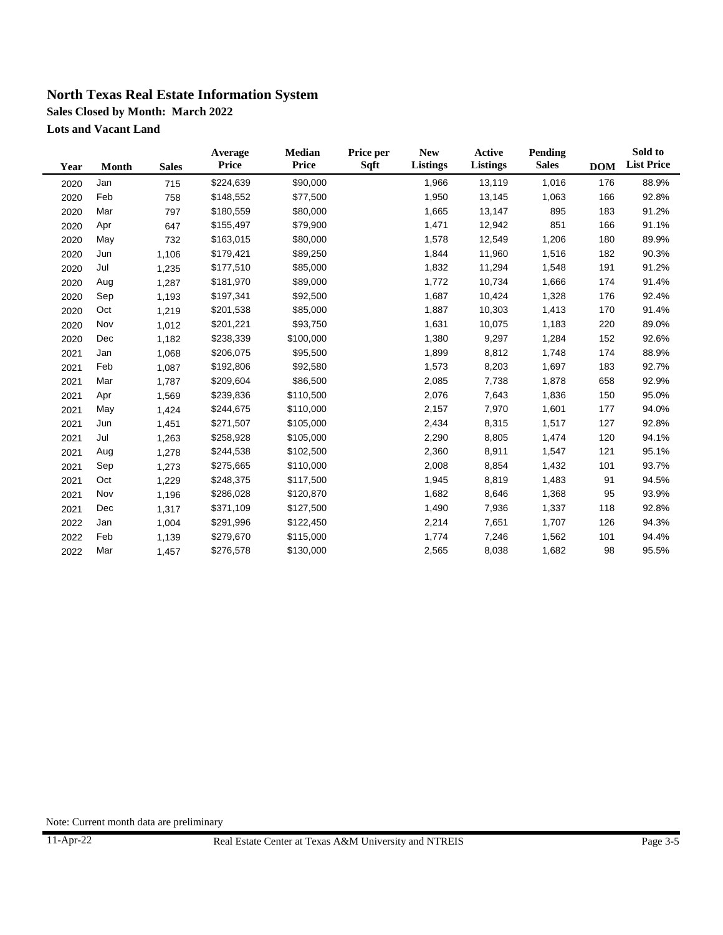**Sales Closed by Month: March 2022**

**Lots and Vacant Land**

| Year | Month | <b>Sales</b> | Average<br>Price | Median<br>Price | Price per<br>Sqft | <b>New</b><br><b>Listings</b> | <b>Active</b><br><b>Listings</b> | Pending<br><b>Sales</b> | <b>DOM</b> | Sold to<br><b>List Price</b> |
|------|-------|--------------|------------------|-----------------|-------------------|-------------------------------|----------------------------------|-------------------------|------------|------------------------------|
| 2020 | Jan   | 715          | \$224,639        | \$90,000        |                   | 1,966                         | 13,119                           | 1,016                   | 176        | 88.9%                        |
| 2020 | Feb   | 758          | \$148,552        | \$77,500        |                   | 1,950                         | 13,145                           | 1,063                   | 166        | 92.8%                        |
| 2020 | Mar   | 797          | \$180,559        | \$80,000        |                   | 1,665                         | 13,147                           | 895                     | 183        | 91.2%                        |
| 2020 | Apr   | 647          | \$155,497        | \$79,900        |                   | 1,471                         | 12,942                           | 851                     | 166        | 91.1%                        |
| 2020 | May   | 732          | \$163,015        | \$80,000        |                   | 1,578                         | 12,549                           | 1,206                   | 180        | 89.9%                        |
| 2020 | Jun   | 1,106        | \$179,421        | \$89,250        |                   | 1,844                         | 11,960                           | 1,516                   | 182        | 90.3%                        |
| 2020 | Jul   | 1,235        | \$177,510        | \$85,000        |                   | 1,832                         | 11,294                           | 1,548                   | 191        | 91.2%                        |
| 2020 | Aug   | 1,287        | \$181,970        | \$89,000        |                   | 1,772                         | 10,734                           | 1,666                   | 174        | 91.4%                        |
| 2020 | Sep   | 1,193        | \$197,341        | \$92,500        |                   | 1,687                         | 10,424                           | 1,328                   | 176        | 92.4%                        |
| 2020 | Oct   | 1,219        | \$201,538        | \$85,000        |                   | 1,887                         | 10,303                           | 1,413                   | 170        | 91.4%                        |
| 2020 | Nov   | 1,012        | \$201,221        | \$93,750        |                   | 1,631                         | 10,075                           | 1,183                   | 220        | 89.0%                        |
| 2020 | Dec   | 1,182        | \$238,339        | \$100,000       |                   | 1,380                         | 9,297                            | 1,284                   | 152        | 92.6%                        |
| 2021 | Jan   | 1,068        | \$206,075        | \$95,500        |                   | 1,899                         | 8,812                            | 1,748                   | 174        | 88.9%                        |
| 2021 | Feb   | 1,087        | \$192,806        | \$92,580        |                   | 1,573                         | 8,203                            | 1,697                   | 183        | 92.7%                        |
| 2021 | Mar   | 1,787        | \$209,604        | \$86,500        |                   | 2,085                         | 7,738                            | 1,878                   | 658        | 92.9%                        |
| 2021 | Apr   | 1,569        | \$239,836        | \$110,500       |                   | 2,076                         | 7,643                            | 1,836                   | 150        | 95.0%                        |
| 2021 | May   | 1,424        | \$244,675        | \$110,000       |                   | 2,157                         | 7,970                            | 1,601                   | 177        | 94.0%                        |
| 2021 | Jun   | 1,451        | \$271,507        | \$105,000       |                   | 2,434                         | 8,315                            | 1,517                   | 127        | 92.8%                        |
| 2021 | Jul   | 1,263        | \$258,928        | \$105,000       |                   | 2,290                         | 8,805                            | 1,474                   | 120        | 94.1%                        |
| 2021 | Aug   | 1,278        | \$244,538        | \$102,500       |                   | 2,360                         | 8,911                            | 1,547                   | 121        | 95.1%                        |
| 2021 | Sep   | 1,273        | \$275,665        | \$110,000       |                   | 2,008                         | 8,854                            | 1,432                   | 101        | 93.7%                        |
| 2021 | Oct   | 1,229        | \$248,375        | \$117,500       |                   | 1,945                         | 8,819                            | 1,483                   | 91         | 94.5%                        |
| 2021 | Nov   | 1,196        | \$286,028        | \$120,870       |                   | 1,682                         | 8,646                            | 1,368                   | 95         | 93.9%                        |
| 2021 | Dec   | 1,317        | \$371,109        | \$127,500       |                   | 1,490                         | 7,936                            | 1,337                   | 118        | 92.8%                        |
| 2022 | Jan   | 1,004        | \$291,996        | \$122,450       |                   | 2,214                         | 7,651                            | 1,707                   | 126        | 94.3%                        |
| 2022 | Feb   | 1,139        | \$279,670        | \$115,000       |                   | 1,774                         | 7,246                            | 1,562                   | 101        | 94.4%                        |
| 2022 | Mar   | 1,457        | \$276,578        | \$130,000       |                   | 2,565                         | 8,038                            | 1,682                   | 98         | 95.5%                        |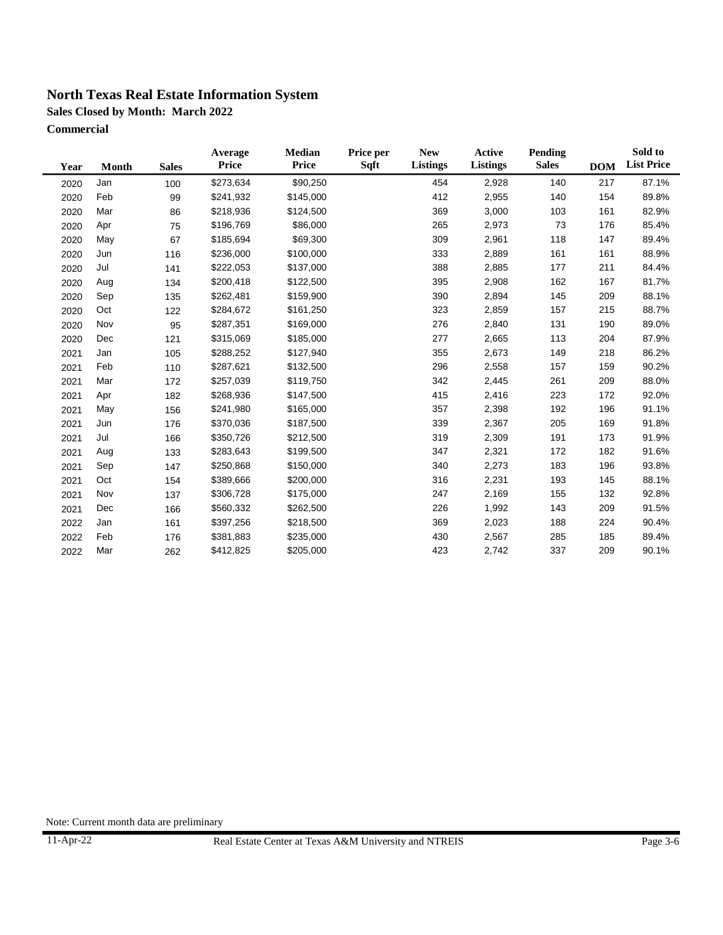**Sales Closed by Month: March 2022**

**Commercial**

| Year | <b>Month</b> | <b>Sales</b> | Average<br>Price | Median<br><b>Price</b> | Price per<br>Sqft | <b>New</b><br>Listings | Active<br>Listings | <b>Pending</b><br><b>Sales</b> | <b>DOM</b> | Sold to<br><b>List Price</b> |
|------|--------------|--------------|------------------|------------------------|-------------------|------------------------|--------------------|--------------------------------|------------|------------------------------|
| 2020 | Jan          | 100          | \$273,634        | \$90,250               |                   | 454                    | 2,928              | 140                            | 217        | 87.1%                        |
| 2020 | Feb          | 99           | \$241,932        | \$145,000              |                   | 412                    | 2,955              | 140                            | 154        | 89.8%                        |
| 2020 | Mar          | 86           | \$218,936        | \$124,500              |                   | 369                    | 3,000              | 103                            | 161        | 82.9%                        |
| 2020 | Apr          | 75           | \$196,769        | \$86,000               |                   | 265                    | 2,973              | 73                             | 176        | 85.4%                        |
| 2020 | May          | 67           | \$185,694        | \$69,300               |                   | 309                    | 2,961              | 118                            | 147        | 89.4%                        |
| 2020 | Jun          | 116          | \$236,000        | \$100,000              |                   | 333                    | 2,889              | 161                            | 161        | 88.9%                        |
| 2020 | Jul          | 141          | \$222,053        | \$137,000              |                   | 388                    | 2,885              | 177                            | 211        | 84.4%                        |
| 2020 | Aug          | 134          | \$200,418        | \$122,500              |                   | 395                    | 2,908              | 162                            | 167        | 81.7%                        |
| 2020 | Sep          | 135          | \$262,481        | \$159,900              |                   | 390                    | 2,894              | 145                            | 209        | 88.1%                        |
| 2020 | Oct          | 122          | \$284,672        | \$161,250              |                   | 323                    | 2,859              | 157                            | 215        | 88.7%                        |
| 2020 | Nov          | 95           | \$287,351        | \$169,000              |                   | 276                    | 2,840              | 131                            | 190        | 89.0%                        |
| 2020 | Dec          | 121          | \$315,069        | \$185,000              |                   | 277                    | 2,665              | 113                            | 204        | 87.9%                        |
| 2021 | Jan          | 105          | \$288,252        | \$127,940              |                   | 355                    | 2,673              | 149                            | 218        | 86.2%                        |
| 2021 | Feb          | 110          | \$287,621        | \$132,500              |                   | 296                    | 2,558              | 157                            | 159        | 90.2%                        |
| 2021 | Mar          | 172          | \$257,039        | \$119,750              |                   | 342                    | 2,445              | 261                            | 209        | 88.0%                        |
| 2021 | Apr          | 182          | \$268,936        | \$147,500              |                   | 415                    | 2,416              | 223                            | 172        | 92.0%                        |
| 2021 | May          | 156          | \$241,980        | \$165,000              |                   | 357                    | 2,398              | 192                            | 196        | 91.1%                        |
| 2021 | Jun          | 176          | \$370,036        | \$187,500              |                   | 339                    | 2,367              | 205                            | 169        | 91.8%                        |
| 2021 | Jul          | 166          | \$350,726        | \$212,500              |                   | 319                    | 2,309              | 191                            | 173        | 91.9%                        |
| 2021 | Aug          | 133          | \$283,643        | \$199,500              |                   | 347                    | 2,321              | 172                            | 182        | 91.6%                        |
| 2021 | Sep          | 147          | \$250,868        | \$150,000              |                   | 340                    | 2,273              | 183                            | 196        | 93.8%                        |
| 2021 | Oct          | 154          | \$389,666        | \$200,000              |                   | 316                    | 2,231              | 193                            | 145        | 88.1%                        |
| 2021 | Nov          | 137          | \$306,728        | \$175,000              |                   | 247                    | 2,169              | 155                            | 132        | 92.8%                        |
| 2021 | Dec          | 166          | \$560,332        | \$262,500              |                   | 226                    | 1,992              | 143                            | 209        | 91.5%                        |
| 2022 | Jan          | 161          | \$397,256        | \$218,500              |                   | 369                    | 2,023              | 188                            | 224        | 90.4%                        |
| 2022 | Feb          | 176          | \$381,883        | \$235,000              |                   | 430                    | 2,567              | 285                            | 185        | 89.4%                        |
| 2022 | Mar          | 262          | \$412,825        | \$205,000              |                   | 423                    | 2,742              | 337                            | 209        | 90.1%                        |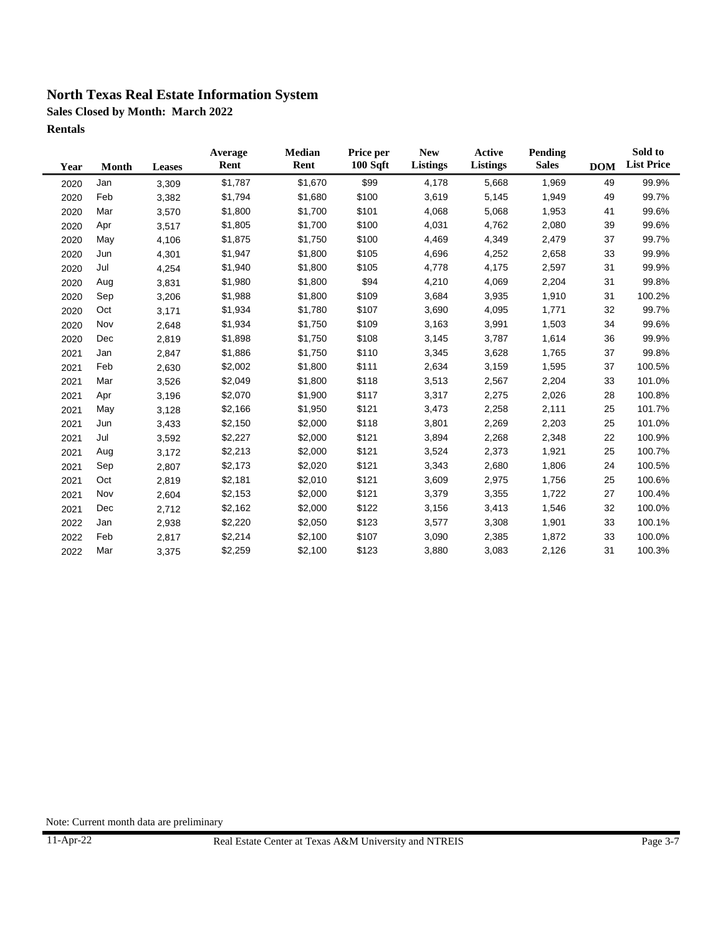**Sales Closed by Month: March 2022**

**Rentals**

| Year | <b>Month</b> | <b>Leases</b> | Average<br>Rent | <b>Median</b><br>Rent | Price per<br>100 Sqft | <b>New</b><br>Listings | Active<br><b>Listings</b> | Pending<br><b>Sales</b> | <b>DOM</b> | Sold to<br><b>List Price</b> |
|------|--------------|---------------|-----------------|-----------------------|-----------------------|------------------------|---------------------------|-------------------------|------------|------------------------------|
| 2020 | Jan          | 3,309         | \$1,787         | \$1,670               | \$99                  | 4,178                  | 5,668                     | 1,969                   | 49         | 99.9%                        |
| 2020 | Feb          | 3,382         | \$1,794         | \$1,680               | \$100                 | 3,619                  | 5,145                     | 1,949                   | 49         | 99.7%                        |
| 2020 | Mar          | 3,570         | \$1,800         | \$1,700               | \$101                 | 4,068                  | 5,068                     | 1,953                   | 41         | 99.6%                        |
| 2020 | Apr          | 3,517         | \$1,805         | \$1,700               | \$100                 | 4,031                  | 4,762                     | 2,080                   | 39         | 99.6%                        |
| 2020 | May          | 4,106         | \$1,875         | \$1,750               | \$100                 | 4,469                  | 4,349                     | 2,479                   | 37         | 99.7%                        |
| 2020 | Jun          | 4,301         | \$1,947         | \$1,800               | \$105                 | 4,696                  | 4,252                     | 2,658                   | 33         | 99.9%                        |
| 2020 | Jul          | 4,254         | \$1,940         | \$1,800               | \$105                 | 4,778                  | 4,175                     | 2,597                   | 31         | 99.9%                        |
| 2020 | Aug          | 3,831         | \$1,980         | \$1,800               | \$94                  | 4,210                  | 4,069                     | 2,204                   | 31         | 99.8%                        |
| 2020 | Sep          | 3,206         | \$1,988         | \$1,800               | \$109                 | 3,684                  | 3,935                     | 1,910                   | 31         | 100.2%                       |
| 2020 | Oct          | 3,171         | \$1,934         | \$1,780               | \$107                 | 3,690                  | 4,095                     | 1,771                   | 32         | 99.7%                        |
| 2020 | Nov          | 2,648         | \$1,934         | \$1,750               | \$109                 | 3,163                  | 3,991                     | 1,503                   | 34         | 99.6%                        |
| 2020 | Dec          | 2,819         | \$1,898         | \$1,750               | \$108                 | 3,145                  | 3,787                     | 1,614                   | 36         | 99.9%                        |
| 2021 | Jan          | 2,847         | \$1,886         | \$1,750               | \$110                 | 3,345                  | 3,628                     | 1,765                   | 37         | 99.8%                        |
| 2021 | Feb          | 2,630         | \$2,002         | \$1,800               | \$111                 | 2,634                  | 3,159                     | 1,595                   | 37         | 100.5%                       |
| 2021 | Mar          | 3,526         | \$2,049         | \$1,800               | \$118                 | 3,513                  | 2,567                     | 2,204                   | 33         | 101.0%                       |
| 2021 | Apr          | 3,196         | \$2,070         | \$1,900               | \$117                 | 3,317                  | 2,275                     | 2,026                   | 28         | 100.8%                       |
| 2021 | May          | 3,128         | \$2,166         | \$1,950               | \$121                 | 3,473                  | 2,258                     | 2,111                   | 25         | 101.7%                       |
| 2021 | Jun          | 3,433         | \$2,150         | \$2,000               | \$118                 | 3,801                  | 2,269                     | 2,203                   | 25         | 101.0%                       |
| 2021 | Jul          | 3,592         | \$2,227         | \$2,000               | \$121                 | 3,894                  | 2,268                     | 2,348                   | 22         | 100.9%                       |
| 2021 | Aug          | 3,172         | \$2,213         | \$2,000               | \$121                 | 3,524                  | 2,373                     | 1,921                   | 25         | 100.7%                       |
| 2021 | Sep          | 2,807         | \$2,173         | \$2,020               | \$121                 | 3,343                  | 2,680                     | 1,806                   | 24         | 100.5%                       |
| 2021 | Oct          | 2,819         | \$2,181         | \$2,010               | \$121                 | 3,609                  | 2,975                     | 1,756                   | 25         | 100.6%                       |
| 2021 | Nov          | 2,604         | \$2,153         | \$2,000               | \$121                 | 3,379                  | 3,355                     | 1,722                   | 27         | 100.4%                       |
| 2021 | Dec          | 2,712         | \$2,162         | \$2,000               | \$122                 | 3,156                  | 3,413                     | 1,546                   | 32         | 100.0%                       |
| 2022 | Jan          | 2,938         | \$2,220         | \$2,050               | \$123                 | 3,577                  | 3,308                     | 1,901                   | 33         | 100.1%                       |
| 2022 | Feb          | 2,817         | \$2,214         | \$2,100               | \$107                 | 3,090                  | 2,385                     | 1,872                   | 33         | 100.0%                       |
| 2022 | Mar          | 3,375         | \$2,259         | \$2,100               | \$123                 | 3,880                  | 3,083                     | 2,126                   | 31         | 100.3%                       |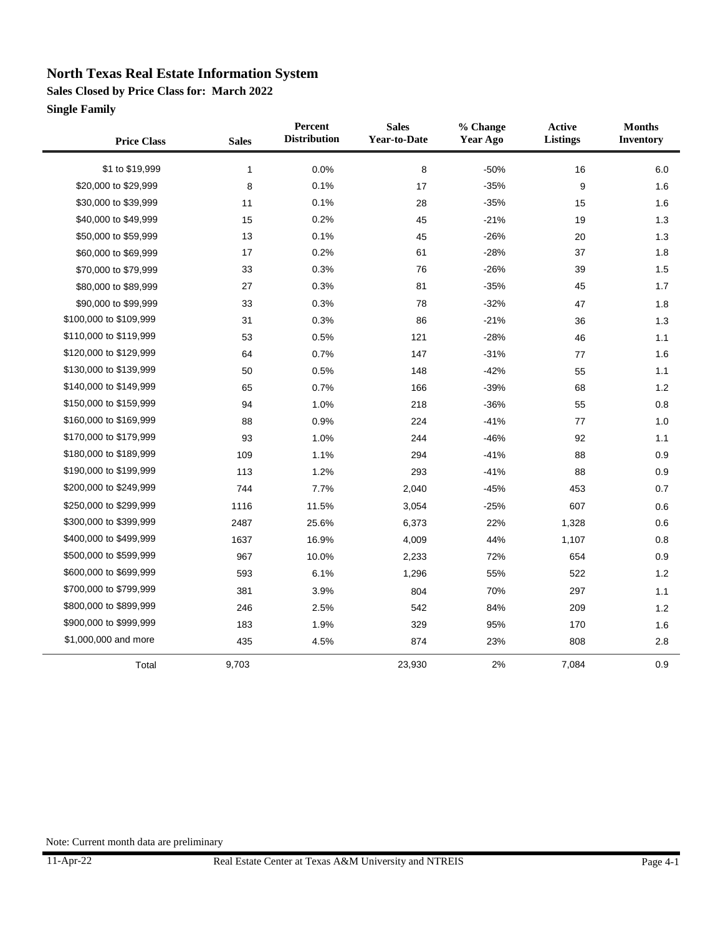**Sales Closed by Price Class for: March 2022**

**Single Family**

 $\blacksquare$ 

| <b>Price Class</b>     | <b>Sales</b> | Percent<br><b>Distribution</b> | <b>Sales</b><br><b>Year-to-Date</b> | % Change<br>Year Ago | Active<br><b>Listings</b> | <b>Months</b><br><b>Inventory</b> |
|------------------------|--------------|--------------------------------|-------------------------------------|----------------------|---------------------------|-----------------------------------|
| \$1 to \$19,999        | $\mathbf{1}$ | 0.0%                           | 8                                   | $-50%$               | 16                        | 6.0                               |
| \$20,000 to \$29,999   | 8            | 0.1%                           | 17                                  | $-35%$               | 9                         | 1.6                               |
| \$30,000 to \$39,999   | 11           | 0.1%                           | 28                                  | $-35%$               | 15                        | 1.6                               |
| \$40,000 to \$49,999   | 15           | 0.2%                           | 45                                  | $-21%$               | 19                        | 1.3                               |
| \$50,000 to \$59,999   | 13           | 0.1%                           | 45                                  | $-26%$               | 20                        | 1.3                               |
| \$60,000 to \$69,999   | 17           | 0.2%                           | 61                                  | $-28%$               | 37                        | 1.8                               |
| \$70,000 to \$79,999   | 33           | 0.3%                           | 76                                  | $-26%$               | 39                        | 1.5                               |
| \$80,000 to \$89,999   | 27           | 0.3%                           | 81                                  | $-35%$               | 45                        | 1.7                               |
| \$90,000 to \$99,999   | 33           | 0.3%                           | 78                                  | $-32%$               | 47                        | 1.8                               |
| \$100,000 to \$109,999 | 31           | 0.3%                           | 86                                  | $-21%$               | 36                        | 1.3                               |
| \$110,000 to \$119,999 | 53           | 0.5%                           | 121                                 | $-28%$               | 46                        | 1.1                               |
| \$120,000 to \$129,999 | 64           | 0.7%                           | 147                                 | $-31%$               | 77                        | 1.6                               |
| \$130,000 to \$139,999 | 50           | 0.5%                           | 148                                 | $-42%$               | 55                        | 1.1                               |
| \$140,000 to \$149,999 | 65           | 0.7%                           | 166                                 | $-39%$               | 68                        | $1.2$                             |
| \$150,000 to \$159,999 | 94           | 1.0%                           | 218                                 | $-36%$               | 55                        | 0.8                               |
| \$160,000 to \$169,999 | 88           | 0.9%                           | 224                                 | $-41%$               | 77                        | 1.0                               |
| \$170,000 to \$179,999 | 93           | 1.0%                           | 244                                 | $-46%$               | 92                        | 1.1                               |
| \$180,000 to \$189,999 | 109          | 1.1%                           | 294                                 | $-41%$               | 88                        | 0.9                               |
| \$190,000 to \$199,999 | 113          | 1.2%                           | 293                                 | $-41%$               | 88                        | 0.9                               |
| \$200,000 to \$249,999 | 744          | 7.7%                           | 2,040                               | $-45%$               | 453                       | 0.7                               |
| \$250,000 to \$299,999 | 1116         | 11.5%                          | 3,054                               | $-25%$               | 607                       | 0.6                               |
| \$300,000 to \$399,999 | 2487         | 25.6%                          | 6,373                               | 22%                  | 1,328                     | 0.6                               |
| \$400,000 to \$499,999 | 1637         | 16.9%                          | 4,009                               | 44%                  | 1,107                     | 0.8                               |
| \$500,000 to \$599,999 | 967          | 10.0%                          | 2,233                               | 72%                  | 654                       | 0.9                               |
| \$600,000 to \$699,999 | 593          | 6.1%                           | 1,296                               | 55%                  | 522                       | 1.2                               |
| \$700,000 to \$799,999 | 381          | 3.9%                           | 804                                 | 70%                  | 297                       | 1.1                               |
| \$800,000 to \$899,999 | 246          | 2.5%                           | 542                                 | 84%                  | 209                       | $1.2$                             |
| \$900,000 to \$999,999 | 183          | 1.9%                           | 329                                 | 95%                  | 170                       | 1.6                               |
| \$1,000,000 and more   | 435          | 4.5%                           | 874                                 | 23%                  | 808                       | 2.8                               |
| Total                  | 9,703        |                                | 23,930                              | 2%                   | 7,084                     | 0.9                               |

 $\overline{a}$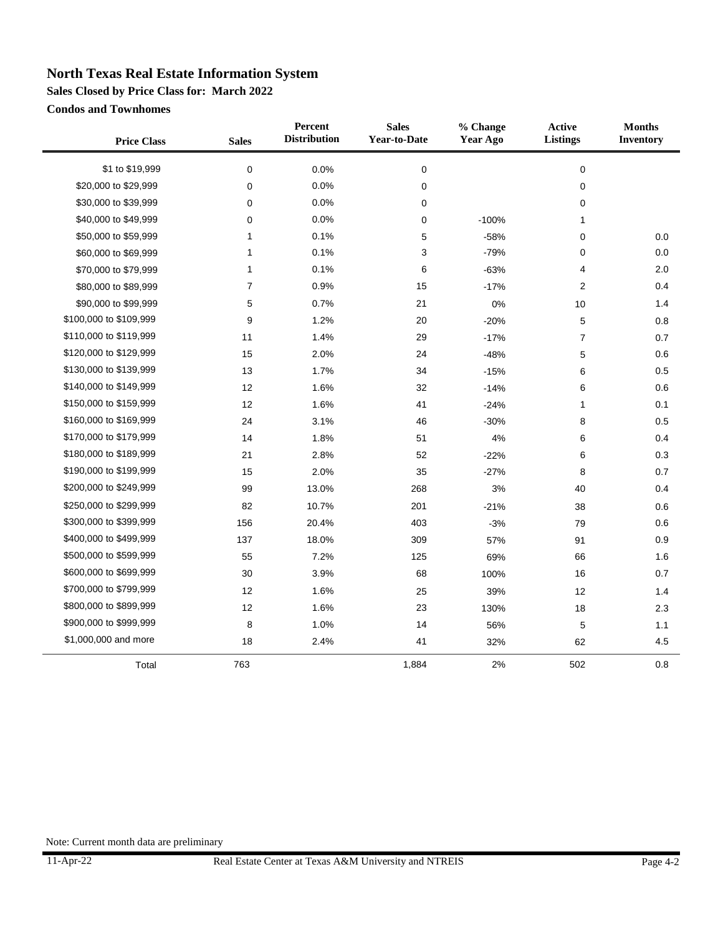**Sales Closed by Price Class for: March 2022**

**Condos and Townhomes**

| <b>Price Class</b>     | <b>Sales</b>   | Percent<br><b>Distribution</b> | <b>Sales</b><br><b>Year-to-Date</b> | % Change<br><b>Year Ago</b> | Active<br>Listings | <b>Months</b><br><b>Inventory</b> |
|------------------------|----------------|--------------------------------|-------------------------------------|-----------------------------|--------------------|-----------------------------------|
| \$1 to \$19,999        | $\pmb{0}$      | 0.0%                           | $\mathbf 0$                         |                             | $\pmb{0}$          |                                   |
| \$20,000 to \$29,999   | $\mathbf 0$    | 0.0%                           | $\mathbf 0$                         |                             | $\mathbf 0$        |                                   |
| \$30,000 to \$39,999   | 0              | 0.0%                           | 0                                   |                             | 0                  |                                   |
| \$40,000 to \$49,999   | 0              | 0.0%                           | $\mathbf 0$                         | $-100%$                     | 1                  |                                   |
| \$50,000 to \$59,999   | 1              | 0.1%                           | 5                                   | $-58%$                      | $\mathbf 0$        | 0.0                               |
| \$60,000 to \$69,999   | 1              | 0.1%                           | 3                                   | $-79%$                      | 0                  | 0.0                               |
| \$70,000 to \$79,999   | 1              | 0.1%                           | 6                                   | $-63%$                      | 4                  | 2.0                               |
| \$80,000 to \$89,999   | $\overline{7}$ | 0.9%                           | 15                                  | $-17%$                      | $\overline{2}$     | 0.4                               |
| \$90,000 to \$99,999   | 5              | 0.7%                           | 21                                  | 0%                          | 10                 | 1.4                               |
| \$100,000 to \$109,999 | 9              | 1.2%                           | 20                                  | $-20%$                      | 5                  | 0.8                               |
| \$110,000 to \$119,999 | 11             | 1.4%                           | 29                                  | $-17%$                      | $\overline{7}$     | 0.7                               |
| \$120,000 to \$129,999 | 15             | 2.0%                           | 24                                  | $-48%$                      | 5                  | 0.6                               |
| \$130,000 to \$139,999 | 13             | 1.7%                           | 34                                  | $-15%$                      | 6                  | 0.5                               |
| \$140,000 to \$149,999 | 12             | 1.6%                           | 32                                  | $-14%$                      | 6                  | 0.6                               |
| \$150,000 to \$159,999 | 12             | 1.6%                           | 41                                  | $-24%$                      | 1                  | 0.1                               |
| \$160,000 to \$169,999 | 24             | 3.1%                           | 46                                  | $-30%$                      | 8                  | 0.5                               |
| \$170,000 to \$179,999 | 14             | 1.8%                           | 51                                  | $4\%$                       | 6                  | 0.4                               |
| \$180,000 to \$189,999 | 21             | 2.8%                           | 52                                  | $-22%$                      | 6                  | 0.3                               |
| \$190,000 to \$199,999 | 15             | 2.0%                           | 35                                  | $-27%$                      | 8                  | 0.7                               |
| \$200,000 to \$249,999 | 99             | 13.0%                          | 268                                 | $3%$                        | 40                 | 0.4                               |
| \$250,000 to \$299,999 | 82             | 10.7%                          | 201                                 | $-21%$                      | 38                 | 0.6                               |
| \$300,000 to \$399,999 | 156            | 20.4%                          | 403                                 | $-3%$                       | 79                 | 0.6                               |
| \$400,000 to \$499,999 | 137            | 18.0%                          | 309                                 | 57%                         | 91                 | 0.9                               |
| \$500,000 to \$599,999 | 55             | 7.2%                           | 125                                 | 69%                         | 66                 | 1.6                               |
| \$600,000 to \$699,999 | 30             | 3.9%                           | 68                                  | 100%                        | 16                 | 0.7                               |
| \$700,000 to \$799,999 | 12             | 1.6%                           | 25                                  | 39%                         | 12                 | 1.4                               |
| \$800,000 to \$899,999 | 12             | 1.6%                           | 23                                  | 130%                        | 18                 | 2.3                               |
| \$900,000 to \$999,999 | 8              | 1.0%                           | 14                                  | 56%                         | $\mathbf 5$        | 1.1                               |
| \$1,000,000 and more   | 18             | 2.4%                           | 41                                  | 32%                         | 62                 | 4.5                               |
| Total                  | 763            |                                | 1,884                               | 2%                          | 502                | 0.8                               |